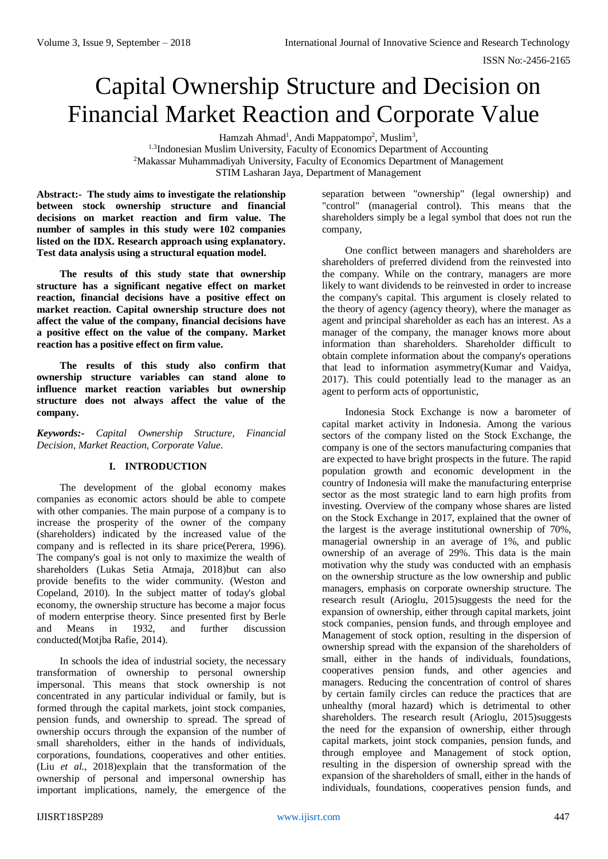# Capital Ownership Structure and Decision on Financial Market Reaction and Corporate Value

Hamzah Ahmad<sup>1</sup>, Andi Mappatompo<sup>2</sup>, Muslim<sup>3</sup>,

<sup>1.3</sup>Indonesian Muslim University, Faculty of Economics Department of Accounting <sup>2</sup>Makassar Muhammadiyah University, Faculty of Economics Department of Management STIM Lasharan Jaya, Department of Management

**Abstract:- The study aims to investigate the relationship between stock ownership structure and financial decisions on market reaction and firm value. The number of samples in this study were 102 companies listed on the IDX. Research approach using explanatory. Test data analysis using a structural equation model.**

**The results of this study state that ownership structure has a significant negative effect on market reaction, financial decisions have a positive effect on market reaction. Capital ownership structure does not affect the value of the company, financial decisions have a positive effect on the value of the company. Market reaction has a positive effect on firm value.**

**The results of this study also confirm that ownership structure variables can stand alone to influence market reaction variables but ownership structure does not always affect the value of the company.**

*Keywords:- Capital Ownership Structure, Financial Decision, Market Reaction, Corporate Value.*

# **I. INTRODUCTION**

The development of the global economy makes companies as economic actors should be able to compete with other companies. The main purpose of a company is to increase the prosperity of the owner of the company (shareholders) indicated by the increased value of the company and is reflected in its share price(Perera, 1996). The company's goal is not only to maximize the wealth of shareholders (Lukas Setia Atmaja, 2018)but can also provide benefits to the wider community. (Weston and Copeland, 2010). In the subject matter of today's global economy, the ownership structure has become a major focus of modern enterprise theory. Since presented first by Berle and Means in 1932, and further discussion conducted(Motjba Rafie, 2014).

In schools the idea of industrial society, the necessary transformation of ownership to personal ownership impersonal. This means that stock ownership is not concentrated in any particular individual or family, but is formed through the capital markets, joint stock companies, pension funds, and ownership to spread. The spread of ownership occurs through the expansion of the number of small shareholders, either in the hands of individuals, corporations, foundations, cooperatives and other entities. (Liu *et al.*, 2018)explain that the transformation of the ownership of personal and impersonal ownership has important implications, namely, the emergence of the separation between "ownership" (legal ownership) and "control" (managerial control). This means that the shareholders simply be a legal symbol that does not run the company,

One conflict between managers and shareholders are shareholders of preferred dividend from the reinvested into the company. While on the contrary, managers are more likely to want dividends to be reinvested in order to increase the company's capital. This argument is closely related to the theory of agency (agency theory), where the manager as agent and principal shareholder as each has an interest. As a manager of the company, the manager knows more about information than shareholders. Shareholder difficult to obtain complete information about the company's operations that lead to information asymmetry(Kumar and Vaidya, 2017). This could potentially lead to the manager as an agent to perform acts of opportunistic,

Indonesia Stock Exchange is now a barometer of capital market activity in Indonesia. Among the various sectors of the company listed on the Stock Exchange, the company is one of the sectors manufacturing companies that are expected to have bright prospects in the future. The rapid population growth and economic development in the country of Indonesia will make the manufacturing enterprise sector as the most strategic land to earn high profits from investing. Overview of the company whose shares are listed on the Stock Exchange in 2017, explained that the owner of the largest is the average institutional ownership of 70%, managerial ownership in an average of 1%, and public ownership of an average of 29%. This data is the main motivation why the study was conducted with an emphasis on the ownership structure as the low ownership and public managers, emphasis on corporate ownership structure. The research result (Arioglu, 2015)suggests the need for the expansion of ownership, either through capital markets, joint stock companies, pension funds, and through employee and Management of stock option, resulting in the dispersion of ownership spread with the expansion of the shareholders of small, either in the hands of individuals, foundations, cooperatives pension funds, and other agencies and managers. Reducing the concentration of control of shares by certain family circles can reduce the practices that are unhealthy (moral hazard) which is detrimental to other shareholders. The research result (Arioglu, 2015)suggests the need for the expansion of ownership, either through capital markets, joint stock companies, pension funds, and through employee and Management of stock option, resulting in the dispersion of ownership spread with the expansion of the shareholders of small, either in the hands of individuals, foundations, cooperatives pension funds, and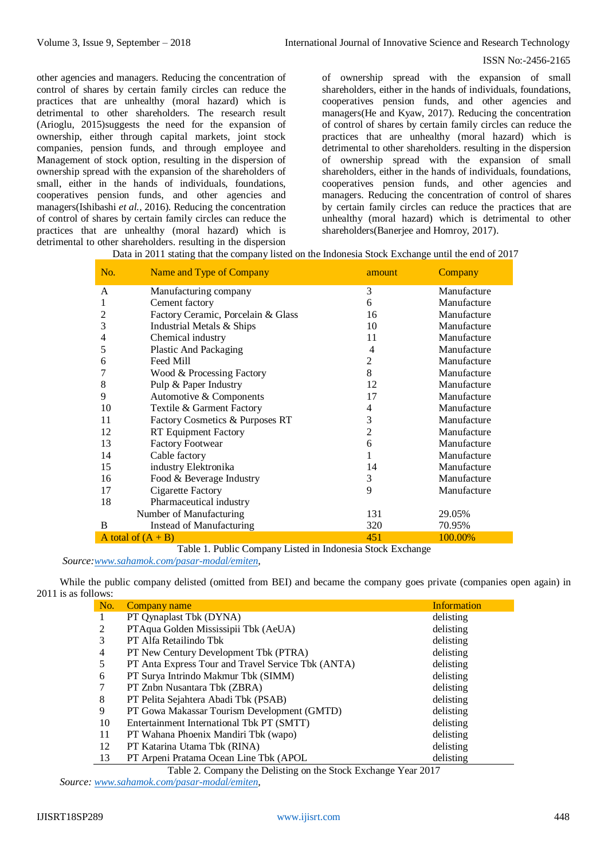other agencies and managers. Reducing the concentration of control of shares by certain family circles can reduce the practices that are unhealthy (moral hazard) which is detrimental to other shareholders. The research result (Arioglu, 2015)suggests the need for the expansion of ownership, either through capital markets, joint stock companies, pension funds, and through employee and Management of stock option, resulting in the dispersion of ownership spread with the expansion of the shareholders of small, either in the hands of individuals, foundations, cooperatives pension funds, and other agencies and managers(Ishibashi *et al.*, 2016). Reducing the concentration of control of shares by certain family circles can reduce the practices that are unhealthy (moral hazard) which is detrimental to other shareholders. resulting in the dispersion

of ownership spread with the expansion of small shareholders, either in the hands of individuals, foundations, cooperatives pension funds, and other agencies and managers(He and Kyaw, 2017). Reducing the concentration of control of shares by certain family circles can reduce the practices that are unhealthy (moral hazard) which is detrimental to other shareholders. resulting in the dispersion of ownership spread with the expansion of small shareholders, either in the hands of individuals, foundations, cooperatives pension funds, and other agencies and managers. Reducing the concentration of control of shares by certain family circles can reduce the practices that are unhealthy (moral hazard) which is detrimental to other shareholders(Banerjee and Homroy, 2017).

Data in 2011 stating that the company listed on the Indonesia Stock Exchange until the end of 2017

| No. | Name and Type of Company           | amount | Company     |
|-----|------------------------------------|--------|-------------|
| A   | Manufacturing company              | 3      | Manufacture |
| 1   | Cement factory                     | 6      | Manufacture |
| 2   | Factory Ceramic, Porcelain & Glass | 16     | Manufacture |
| 3   | Industrial Metals & Ships          | 10     | Manufacture |
| 4   | Chemical industry                  | 11     | Manufacture |
| 5   | Plastic And Packaging              | 4      | Manufacture |
| 6   | Feed Mill                          | 2      | Manufacture |
|     | Wood & Processing Factory          | 8      | Manufacture |
| 8   | Pulp & Paper Industry              | 12     | Manufacture |
| 9   | Automotive & Components            | 17     | Manufacture |
| 10  | Textile & Garment Factory          | 4      | Manufacture |
| 11  | Factory Cosmetics & Purposes RT    | 3      | Manufacture |
| 12  | RT Equipment Factory               | 2      | Manufacture |
| 13  | <b>Factory Footwear</b>            | 6      | Manufacture |
| 14  | Cable factory                      |        | Manufacture |
| 15  | industry Elektronika               | 14     | Manufacture |
| 16  | Food & Beverage Industry           | 3      | Manufacture |
| 17  | <b>Cigarette Factory</b>           | 9      | Manufacture |
| 18  | Pharmaceutical industry            |        |             |
|     | Number of Manufacturing            | 131    | 29.05%      |
| B   | Instead of Manufacturing           | 320    | 70.95%      |
|     | A total of $(A + B)$               | 451    | 100.00%     |

Table 1. Public Company Listed in Indonesia Stock Exchange

*Source[:www.sahamok.com/pasar-modal/emiten,](http://www.sahamok.com/pasar-modal/emiten)* 

While the public company delisted (omitted from BEI) and became the company goes private (companies open again) in 2011 is as follows:

| No. | Company name                                       | <b>Information</b> |
|-----|----------------------------------------------------|--------------------|
| I.  | PT Qynaplast Tbk (DYNA)                            | delisting          |
|     | PTAqua Golden Mississipii Tbk (AeUA)               | delisting          |
| 3   | PT Alfa Retailindo Tbk                             | delisting          |
| 4   | PT New Century Development Tbk (PTRA)              | delisting          |
|     | PT Anta Express Tour and Travel Service Tbk (ANTA) | delisting          |
| 6   | PT Surya Intrindo Makmur Tbk (SIMM)                | delisting          |
|     | PT Znbn Nusantara Tbk (ZBRA)                       | delisting          |
| 8   | PT Pelita Sejahtera Abadi Tbk (PSAB)               | delisting          |
| 9   | PT Gowa Makassar Tourism Development (GMTD)        | delisting          |
| 10  | Entertainment International Tbk PT (SMTT)          | delisting          |
| 11  | PT Wahana Phoenix Mandiri Tbk (wapo)               | delisting          |
| 12  | PT Katarina Utama Tbk (RINA)                       | delisting          |
| 13  | PT Arpeni Pratama Ocean Line Tbk (APOL)            | delisting          |

Table 2. Company the Delisting on the Stock Exchange Year 2017

*Source: [www.sahamok.com/pasar-modal/emiten,](http://www.sahamok.com/pasar-modal/emiten)*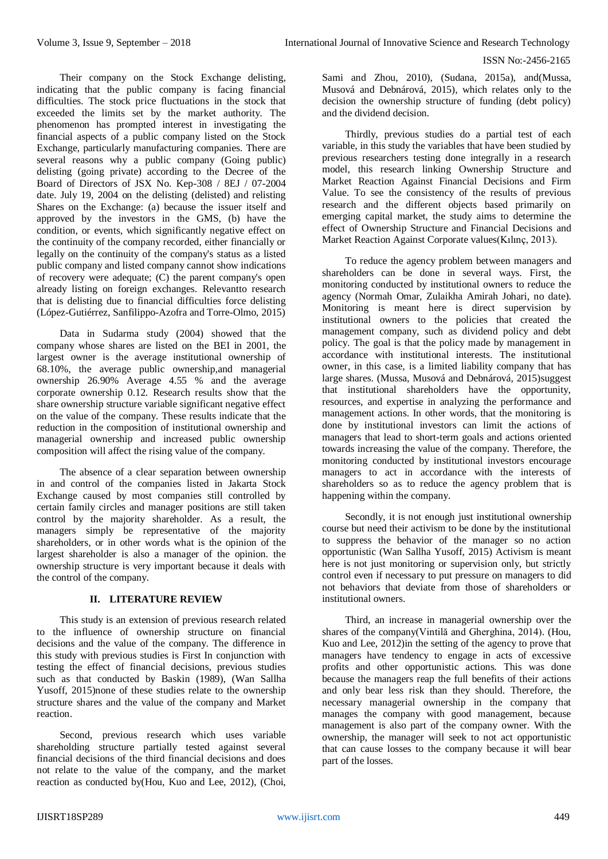Their company on the Stock Exchange delisting, indicating that the public company is facing financial difficulties. The stock price fluctuations in the stock that exceeded the limits set by the market authority. The phenomenon has prompted interest in investigating the financial aspects of a public company listed on the Stock Exchange, particularly manufacturing companies. There are several reasons why a public company (Going public) delisting (going private) according to the Decree of the Board of Directors of JSX No. Kep-308 / 8EJ / 07-2004 date. July 19, 2004 on the delisting (delisted) and relisting Shares on the Exchange: (a) because the issuer itself and approved by the investors in the GMS, (b) have the condition, or events, which significantly negative effect on the continuity of the company recorded, either financially or legally on the continuity of the company's status as a listed public company and listed company cannot show indications of recovery were adequate;  $(C)$  the parent company's open already listing on foreign exchanges. Relevantto research that is delisting due to financial difficulties force delisting (López-Gutiérrez, Sanfilippo-Azofra and Torre-Olmo, 2015)

Data in Sudarma study (2004) showed that the company whose shares are listed on the BEI in 2001, the largest owner is the average institutional ownership of 68.10%, the average public ownership,and managerial ownership 26.90% Average 4.55 % and the average corporate ownership 0.12. Research results show that the share ownership structure variable significant negative effect on the value of the company. These results indicate that the reduction in the composition of institutional ownership and managerial ownership and increased public ownership composition will affect the rising value of the company.

The absence of a clear separation between ownership in and control of the companies listed in Jakarta Stock Exchange caused by most companies still controlled by certain family circles and manager positions are still taken control by the majority shareholder. As a result, the managers simply be representative of the majority shareholders, or in other words what is the opinion of the largest shareholder is also a manager of the opinion. the ownership structure is very important because it deals with the control of the company.

# **II. LITERATURE REVIEW**

This study is an extension of previous research related to the influence of ownership structure on financial decisions and the value of the company. The difference in this study with previous studies is First In conjunction with testing the effect of financial decisions, previous studies such as that conducted by Baskin (1989), (Wan Sallha Yusoff, 2015)none of these studies relate to the ownership structure shares and the value of the company and Market reaction.

Second, previous research which uses variable shareholding structure partially tested against several financial decisions of the third financial decisions and does not relate to the value of the company, and the market reaction as conducted by(Hou, Kuo and Lee, 2012), (Choi,

Sami and Zhou, 2010), (Sudana, 2015a), and(Mussa, Musová and Debnárová, 2015), which relates only to the decision the ownership structure of funding (debt policy) and the dividend decision.

Thirdly, previous studies do a partial test of each variable, in this study the variables that have been studied by previous researchers testing done integrally in a research model, this research linking Ownership Structure and Market Reaction Against Financial Decisions and Firm Value. To see the consistency of the results of previous research and the different objects based primarily on emerging capital market, the study aims to determine the effect of Ownership Structure and Financial Decisions and Market Reaction Against Corporate values(Kılınç, 2013).

To reduce the agency problem between managers and shareholders can be done in several ways. First, the monitoring conducted by institutional owners to reduce the agency (Normah Omar, Zulaikha Amirah Johari, no date). Monitoring is meant here is direct supervision by institutional owners to the policies that created the management company, such as dividend policy and debt policy. The goal is that the policy made by management in accordance with institutional interests. The institutional owner, in this case, is a limited liability company that has large shares. (Mussa, Musová and Debnárová, 2015)suggest that institutional shareholders have the opportunity, resources, and expertise in analyzing the performance and management actions. In other words, that the monitoring is done by institutional investors can limit the actions of managers that lead to short-term goals and actions oriented towards increasing the value of the company. Therefore, the monitoring conducted by institutional investors encourage managers to act in accordance with the interests of shareholders so as to reduce the agency problem that is happening within the company.

Secondly, it is not enough just institutional ownership course but need their activism to be done by the institutional to suppress the behavior of the manager so no action opportunistic (Wan Sallha Yusoff, 2015) Activism is meant here is not just monitoring or supervision only, but strictly control even if necessary to put pressure on managers to did not behaviors that deviate from those of shareholders or institutional owners.

Third, an increase in managerial ownership over the shares of the company(Vintilă and Gherghina, 2014). (Hou, Kuo and Lee, 2012)in the setting of the agency to prove that managers have tendency to engage in acts of excessive profits and other opportunistic actions. This was done because the managers reap the full benefits of their actions and only bear less risk than they should. Therefore, the necessary managerial ownership in the company that manages the company with good management, because management is also part of the company owner. With the ownership, the manager will seek to not act opportunistic that can cause losses to the company because it will bear part of the losses.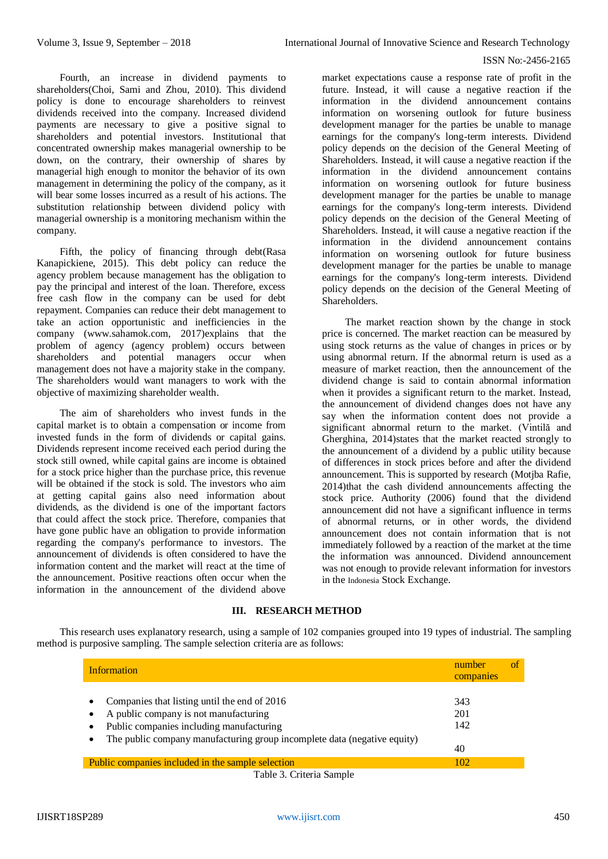Fourth, an increase in dividend payments to shareholders(Choi, Sami and Zhou, 2010). This dividend policy is done to encourage shareholders to reinvest dividends received into the company. Increased dividend payments are necessary to give a positive signal to shareholders and potential investors. Institutional that concentrated ownership makes managerial ownership to be down, on the contrary, their ownership of shares by managerial high enough to monitor the behavior of its own management in determining the policy of the company, as it will bear some losses incurred as a result of his actions. The substitution relationship between dividend policy with managerial ownership is a monitoring mechanism within the company.

Fifth, the policy of financing through debt(Rasa Kanapickiene, 2015). This debt policy can reduce the agency problem because management has the obligation to pay the principal and interest of the loan. Therefore, excess free cash flow in the company can be used for debt repayment. Companies can reduce their debt management to take an action opportunistic and inefficiencies in the company (www.sahamok.com, 2017)explains that the problem of agency (agency problem) occurs between shareholders and potential managers occur when management does not have a majority stake in the company. The shareholders would want managers to work with the objective of maximizing shareholder wealth.

The aim of shareholders who invest funds in the capital market is to obtain a compensation or income from invested funds in the form of dividends or capital gains. Dividends represent income received each period during the stock still owned, while capital gains are income is obtained for a stock price higher than the purchase price, this revenue will be obtained if the stock is sold. The investors who aim at getting capital gains also need information about dividends, as the dividend is one of the important factors that could affect the stock price. Therefore, companies that have gone public have an obligation to provide information regarding the company's performance to investors. The announcement of dividends is often considered to have the information content and the market will react at the time of the announcement. Positive reactions often occur when the information in the announcement of the dividend above

market expectations cause a response rate of profit in the future. Instead, it will cause a negative reaction if the information in the dividend announcement contains information on worsening outlook for future business development manager for the parties be unable to manage earnings for the company's long-term interests. Dividend policy depends on the decision of the General Meeting of Shareholders. Instead, it will cause a negative reaction if the information in the dividend announcement contains information on worsening outlook for future business development manager for the parties be unable to manage earnings for the company's long-term interests. Dividend policy depends on the decision of the General Meeting of Shareholders. Instead, it will cause a negative reaction if the information in the dividend announcement contains information on worsening outlook for future business development manager for the parties be unable to manage earnings for the company's long-term interests. Dividend policy depends on the decision of the General Meeting of Shareholders.

The market reaction shown by the change in stock price is concerned. The market reaction can be measured by using stock returns as the value of changes in prices or by using abnormal return. If the abnormal return is used as a measure of market reaction, then the announcement of the dividend change is said to contain abnormal information when it provides a significant return to the market. Instead, the announcement of dividend changes does not have any say when the information content does not provide a significant abnormal return to the market. (Vintilă and Gherghina, 2014)states that the market reacted strongly to the announcement of a dividend by a public utility because of differences in stock prices before and after the dividend announcement. This is supported by research (Motjba Rafie, 2014)that the cash dividend announcements affecting the stock price. Authority (2006) found that the dividend announcement did not have a significant influence in terms of abnormal returns, or in other words, the dividend announcement does not contain information that is not immediately followed by a reaction of the market at the time the information was announced. Dividend announcement was not enough to provide relevant information for investors in the Indonesia Stock Exchange.

#### **III. RESEARCH METHOD**

This research uses explanatory research, using a sample of 102 companies grouped into 19 types of industrial. The sampling method is purposive sampling. The sample selection criteria are as follows:

| <b>Information</b>                                                                                                                                                                                                                           | number<br>companies     | <sup>of</sup> |
|----------------------------------------------------------------------------------------------------------------------------------------------------------------------------------------------------------------------------------------------|-------------------------|---------------|
| Companies that listing until the end of 2016<br>A public company is not manufacturing<br>٠<br>Public companies including manufacturing<br>$\bullet$<br>The public company manufacturing group incomplete data (negative equity)<br>$\bullet$ | 343<br>201<br>142<br>40 |               |
| Public companies included in the sample selection<br>$T-11-2C+1$                                                                                                                                                                             | 102                     |               |

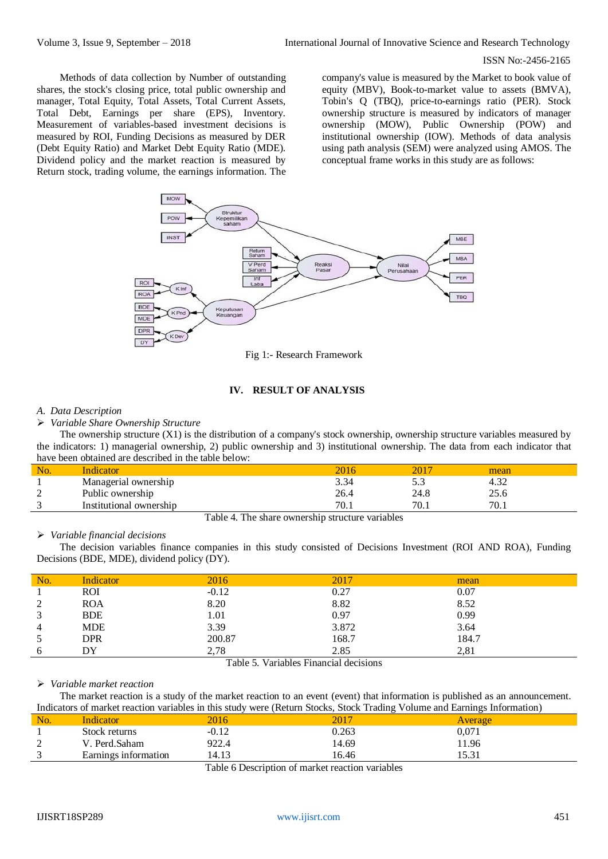Methods of data collection by Number of outstanding shares, the stock's closing price, total public ownership and manager, Total Equity, Total Assets, Total Current Assets, Total Debt, Earnings per share (EPS), Inventory. Measurement of variables-based investment decisions is measured by ROI, Funding Decisions as measured by DER (Debt Equity Ratio) and Market Debt Equity Ratio (MDE). Dividend policy and the market reaction is measured by Return stock, trading volume, the earnings information. The

company's value is measured by the Market to book value of equity (MBV), Book-to-market value to assets (BMVA), Tobin's Q (TBQ), price-to-earnings ratio (PER). Stock ownership structure is measured by indicators of manager ownership (MOW), Public Ownership (POW) and institutional ownership (IOW). Methods of data analysis using path analysis (SEM) were analyzed using AMOS. The conceptual frame works in this study are as follows:



Fig 1:- Research Framework

# **IV. RESULT OF ANALYSIS**

#### *A. Data Description*

*Variable Share Ownership Structure*

The ownership structure (X1) is the distribution of a company's stock ownership, ownership structure variables measured by the indicators: 1) managerial ownership, 2) public ownership and 3) institutional ownership. The data from each indicator that have been obtained are described in the table below:

| No.    | Indicator               |      | 201  | mean |  |
|--------|-------------------------|------|------|------|--|
|        | Managerial ownership    | 3.34 | ت ر  | 4.34 |  |
| ◠<br>∼ | Public ownership        | 26.4 | 24.8 | 25.6 |  |
| $\sim$ | Institutional ownership | 70.1 | 70.1 | 70.1 |  |
|        |                         |      |      |      |  |

Table 4. The share ownership structure variables

## *Variable financial decisions*

The decision variables finance companies in this study consisted of Decisions Investment (ROI AND ROA), Funding Decisions (BDE, MDE), dividend policy (DY).

| No.                | Indicator  | 2016    | 2017  | mean  |
|--------------------|------------|---------|-------|-------|
|                    | ROI        | $-0.12$ | 0.27  | 0.07  |
| $\mathcal{D}$<br>∠ | <b>ROA</b> | 8.20    | 8.82  | 8.52  |
| 3                  | <b>BDE</b> | 1.01    | 0.97  | 0.99  |
| 4                  | <b>MDE</b> | 3.39    | 3.872 | 3.64  |
| 5                  | DPR        | 200.87  | 168.7 | 184.7 |
| 6                  | DY         | 2,78    | 2.85  | 2,81  |

Table 5. Variables Financial decisions

#### *Variable market reaction*

The market reaction is a study of the market reaction to an event (event) that information is published as an announcement. Indicators of market reaction variables in this study were (Return Stocks, Stock Trading Volume and Earnings Information)

| No.            | Indicator            | 2016    |                              | Average         |  |
|----------------|----------------------|---------|------------------------------|-----------------|--|
|                | Stock returns        | $-0.12$ | 0.263                        | $0,\!071$       |  |
| $\bigcap$<br>∠ | Perd.Saham           | 922.4   | 14.69                        | 1.96            |  |
| $\sqrt{2}$     | Earnings information | 14.13   | 16.46                        | 5.21<br>1 J.J 1 |  |
|                |                      | ------- | .<br>$\sim$<br>$\sim$ $\sim$ |                 |  |

Table 6 Description of market reaction variables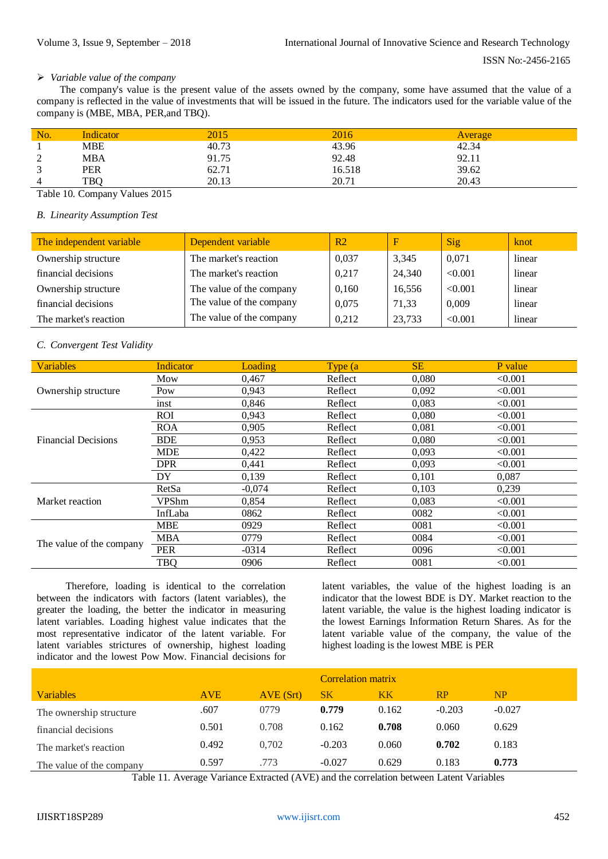## *Variable value of the company*

The company's value is the present value of the assets owned by the company, some have assumed that the value of a company is reflected in the value of investments that will be issued in the future. The indicators used for the variable value of the company is (MBE, MBA, PER,and TBQ).

| No.                                   | Indicator  | 2015  | 2016   | Average |
|---------------------------------------|------------|-------|--------|---------|
|                                       | <b>MBE</b> | 40.73 | 43.96  | 42.34   |
| $\bigcap$<br>$\overline{\phantom{0}}$ | <b>MBA</b> | 91.75 | 92.48  | 92.11   |
| $\sim$                                | <b>PER</b> | 62.71 | 16.518 | 39.62   |
| $\overline{4}$                        | TBO        | 20.13 | 20.71  | 20.43   |

Table 10. Company Values 2015

#### *B. Linearity Assumption Test*

| The independent variable | Dependent variable       | R <sub>2</sub> | $_{\rm F}$ | Sig     | knot   |
|--------------------------|--------------------------|----------------|------------|---------|--------|
| Ownership structure      | The market's reaction    | 0,037          | 3,345      | 0,071   | linear |
| financial decisions      | The market's reaction    | 0,217          | 24,340     | < 0.001 | linear |
| Ownership structure      | The value of the company | 0,160          | 16,556     | < 0.001 | linear |
| financial decisions      | The value of the company | 0,075          | 71,33      | 0,009   | linear |
| The market's reaction    | The value of the company | 0.212          | 23,733     | < 0.001 | linear |

# *C. Convergent Test Validity*

| <b>Variables</b>           | <b>Indicator</b> | Loading  | Type (a) | <b>SE</b> | P value |
|----------------------------|------------------|----------|----------|-----------|---------|
|                            | Mow              | 0,467    | Reflect  | 0,080     | < 0.001 |
| Ownership structure        | Pow              | 0,943    | Reflect  | 0,092     | < 0.001 |
|                            | inst             | 0,846    | Reflect  | 0,083     | < 0.001 |
|                            | ROI              | 0,943    | Reflect  | 0.080     | < 0.001 |
|                            | <b>ROA</b>       | 0,905    | Reflect  | 0,081     | < 0.001 |
| <b>Financial Decisions</b> | <b>BDE</b>       | 0,953    | Reflect  | 0,080     | < 0.001 |
|                            | <b>MDE</b>       | 0,422    | Reflect  | 0,093     | < 0.001 |
|                            | <b>DPR</b>       | 0,441    | Reflect  | 0.093     | < 0.001 |
|                            | DY               | 0,139    | Reflect  | 0,101     | 0,087   |
|                            | RetSa            | $-0.074$ | Reflect  | 0.103     | 0,239   |
| Market reaction            | VPShm            | 0,854    | Reflect  | 0,083     | < 0.001 |
|                            | InfLaba          | 0862     | Reflect  | 0082      | < 0.001 |
|                            | <b>MBE</b>       | 0929     | Reflect  | 0081      | < 0.001 |
|                            | <b>MBA</b>       | 0779     | Reflect  | 0084      | < 0.001 |
| The value of the company   | <b>PER</b>       | $-0314$  | Reflect  | 0096      | < 0.001 |
|                            | TBQ              | 0906     | Reflect  | 0081      | < 0.001 |

Therefore, loading is identical to the correlation between the indicators with factors (latent variables), the greater the loading, the better the indicator in measuring latent variables. Loading highest value indicates that the most representative indicator of the latent variable. For latent variables strictures of ownership, highest loading indicator and the lowest Pow Mow. Financial decisions for

latent variables, the value of the highest loading is an indicator that the lowest BDE is DY. Market reaction to the latent variable, the value is the highest loading indicator is the lowest Earnings Information Return Shares. As for the latent variable value of the company, the value of the highest loading is the lowest MBE is PER

|                          |            |           | Correlation matrix |           |          |           |
|--------------------------|------------|-----------|--------------------|-----------|----------|-----------|
| <b>Variables</b>         | <b>AVE</b> | AVE (Srt) | <b>SK</b>          | <b>KK</b> | RP       | <b>NP</b> |
| The ownership structure  | .607       | 0779      | 0.779              | 0.162     | $-0.203$ | $-0.027$  |
| financial decisions      | 0.501      | 0.708     | 0.162              | 0.708     | 0.060    | 0.629     |
| The market's reaction    | 0.492      | 0.702     | $-0.203$           | 0.060     | 0.702    | 0.183     |
| The value of the company | 0.597      | .773      | $-0.027$           | 0.629     | 0.183    | 0.773     |

Table 11. Average Variance Extracted (AVE) and the correlation between Latent Variables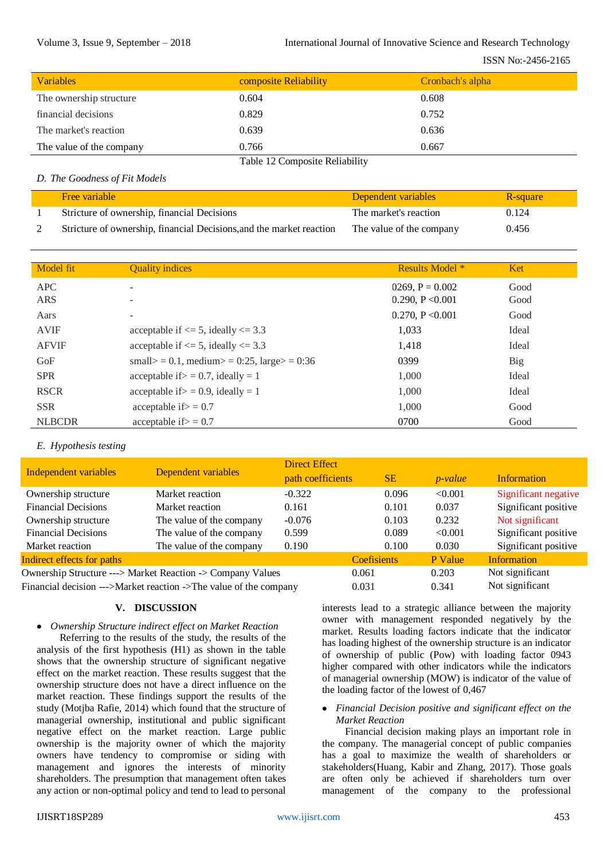| <b>Variables</b>         | composite Reliability          | Cronbach's alpha |
|--------------------------|--------------------------------|------------------|
| The ownership structure  | 0.604                          | 0.608            |
| financial decisions      | 0.829                          | 0.752            |
| The market's reaction    | 0.639                          | 0.636            |
| The value of the company | 0.766                          | 0.667            |
|                          | Teble 12 Composite Delightlity |                  |

#### Table 12 Composite Reliability

## *D. The Goodness of Fit Models*

| <b>Free variable</b>                                                 | Dependent variables      | R-square |
|----------------------------------------------------------------------|--------------------------|----------|
| Stricture of ownership, financial Decisions                          | The market's reaction    | 0.124    |
| Stricture of ownership, financial Decisions, and the market reaction | The value of the company | 0.456    |

| Model fit     | <b>Quality indices</b>                      | <b>Results Model</b> * | Ket   |
|---------------|---------------------------------------------|------------------------|-------|
| <b>APC</b>    | $\overline{\phantom{a}}$                    | 0269, $P = 0.002$      | Good  |
| <b>ARS</b>    |                                             | 0.290, $P \le 0.001$   | Good  |
| Aars          | $\overline{\phantom{0}}$                    | 0.270, P $< 0.001$     | Good  |
| <b>AVIF</b>   | acceptable if $\leq$ 5, ideally $\leq$ 3.3  | 1,033                  | Ideal |
| <b>AFVIF</b>  | acceptable if $\leq$ 5, ideally $\leq$ 3.3  | 1,418                  | Ideal |
| GoF           | small> = 0.1, medium> = 0:25, large> = 0:36 | 0399                   | Big   |
| <b>SPR</b>    | acceptable if $>$ = 0.7, ideally = 1        | 1,000                  | Ideal |
| <b>RSCR</b>   | acceptable if $>$ = 0.9, ideally = 1        | 1,000                  | Ideal |
| <b>SSR</b>    | acceptable if $> = 0.7$                     | 1.000                  | Good  |
| <b>NLBCDR</b> | acceptable if $> = 0.7$                     | 0700                   | Good  |

# *E. Hypothesis testing*

|                                                                   | Dependent variables      | <b>Direct Effect</b> |                    |            |                      |
|-------------------------------------------------------------------|--------------------------|----------------------|--------------------|------------|----------------------|
| Independent variables                                             |                          | path coefficients    | <b>SE</b>          | $p$ -value | <b>Information</b>   |
| Ownership structure                                               | Market reaction          | $-0.322$             | 0.096              | < 0.001    | Significant negative |
| <b>Financial Decisions</b>                                        | Market reaction          | 0.161                | 0.101              | 0.037      | Significant positive |
| Ownership structure                                               | The value of the company | $-0.076$             | 0.103              | 0.232      | Not significant      |
| <b>Financial Decisions</b>                                        | The value of the company | 0.599                | 0.089              | < 0.001    | Significant positive |
| Market reaction                                                   | The value of the company | 0.190                | 0.100              | 0.030      | Significant positive |
| Indirect effects for paths                                        |                          |                      | <b>Coefisients</b> | P Value    | <b>Information</b>   |
| Ownership Structure ---> Market Reaction -> Company Values        |                          |                      | 0.061              | 0.203      | Not significant      |
| Financial decision --->Market reaction ->The value of the company |                          |                      | 0.031              | 0.341      | Not significant      |

# **V. DISCUSSION**

 *Ownership Structure indirect effect on Market Reaction* Referring to the results of the study, the results of the analysis of the first hypothesis (H1) as shown in the table shows that the ownership structure of significant negative effect on the market reaction. These results suggest that the ownership structure does not have a direct influence on the market reaction. These findings support the results of the study (Motjba Rafie, 2014) which found that the structure of managerial ownership, institutional and public significant negative effect on the market reaction. Large public ownership is the majority owner of which the majority owners have tendency to compromise or siding with management and ignores the interests of minority shareholders. The presumption that management often takes any action or non-optimal policy and tend to lead to personal

interests lead to a strategic alliance between the majority owner with management responded negatively by the market. Results loading factors indicate that the indicator has loading highest of the ownership structure is an indicator of ownership of public (Pow) with loading factor 0943 higher compared with other indicators while the indicators of managerial ownership (MOW) is indicator of the value of the loading factor of the lowest of 0,467

 *Financial Decision positive and significant effect on the Market Reaction*

Financial decision making plays an important role in the company. The managerial concept of public companies has a goal to maximize the wealth of shareholders or stakeholders(Huang, Kabir and Zhang, 2017). Those goals are often only be achieved if shareholders turn over management of the company to the professional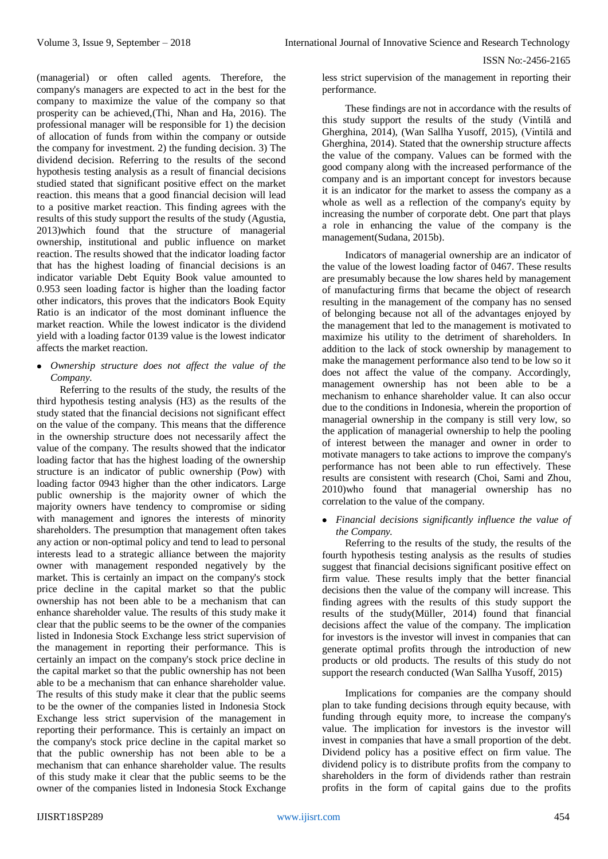(managerial) or often called agents. Therefore, the company's managers are expected to act in the best for the company to maximize the value of the company so that prosperity can be achieved,(Thi, Nhan and Ha, 2016). The professional manager will be responsible for 1) the decision of allocation of funds from within the company or outside the company for investment. 2) the funding decision. 3) The dividend decision. Referring to the results of the second hypothesis testing analysis as a result of financial decisions studied stated that significant positive effect on the market reaction. this means that a good financial decision will lead to a positive market reaction. This finding agrees with the results of this study support the results of the study (Agustia, 2013)which found that the structure of managerial ownership, institutional and public influence on market reaction. The results showed that the indicator loading factor that has the highest loading of financial decisions is an indicator variable Debt Equity Book value amounted to 0.953 seen loading factor is higher than the loading factor other indicators, this proves that the indicators Book Equity Ratio is an indicator of the most dominant influence the market reaction. While the lowest indicator is the dividend yield with a loading factor 0139 value is the lowest indicator affects the market reaction.

 *Ownership structure does not affect the value of the Company.*

Referring to the results of the study, the results of the third hypothesis testing analysis (H3) as the results of the study stated that the financial decisions not significant effect on the value of the company. This means that the difference in the ownership structure does not necessarily affect the value of the company. The results showed that the indicator loading factor that has the highest loading of the ownership structure is an indicator of public ownership (Pow) with loading factor 0943 higher than the other indicators. Large public ownership is the majority owner of which the majority owners have tendency to compromise or siding with management and ignores the interests of minority shareholders. The presumption that management often takes any action or non-optimal policy and tend to lead to personal interests lead to a strategic alliance between the majority owner with management responded negatively by the market. This is certainly an impact on the company's stock price decline in the capital market so that the public ownership has not been able to be a mechanism that can enhance shareholder value. The results of this study make it clear that the public seems to be the owner of the companies listed in Indonesia Stock Exchange less strict supervision of the management in reporting their performance. This is certainly an impact on the company's stock price decline in the capital market so that the public ownership has not been able to be a mechanism that can enhance shareholder value. The results of this study make it clear that the public seems to be the owner of the companies listed in Indonesia Stock Exchange less strict supervision of the management in reporting their performance. This is certainly an impact on the company's stock price decline in the capital market so that the public ownership has not been able to be a mechanism that can enhance shareholder value. The results of this study make it clear that the public seems to be the owner of the companies listed in Indonesia Stock Exchange

less strict supervision of the management in reporting their performance.

These findings are not in accordance with the results of this study support the results of the study (Vintilă and Gherghina, 2014), (Wan Sallha Yusoff, 2015), (Vintilă and Gherghina, 2014). Stated that the ownership structure affects the value of the company. Values can be formed with the good company along with the increased performance of the company and is an important concept for investors because it is an indicator for the market to assess the company as a whole as well as a reflection of the company's equity by increasing the number of corporate debt. One part that plays a role in enhancing the value of the company is the management(Sudana, 2015b).

Indicators of managerial ownership are an indicator of the value of the lowest loading factor of 0467. These results are presumably because the low shares held by management of manufacturing firms that became the object of research resulting in the management of the company has no sensed of belonging because not all of the advantages enjoyed by the management that led to the management is motivated to maximize his utility to the detriment of shareholders. In addition to the lack of stock ownership by management to make the management performance also tend to be low so it does not affect the value of the company. Accordingly, management ownership has not been able to be a mechanism to enhance shareholder value. It can also occur due to the conditions in Indonesia, wherein the proportion of managerial ownership in the company is still very low, so the application of managerial ownership to help the pooling of interest between the manager and owner in order to motivate managers to take actions to improve the company's performance has not been able to run effectively. These results are consistent with research (Choi, Sami and Zhou, 2010)who found that managerial ownership has no correlation to the value of the company.

 *Financial decisions significantly influence the value of the Company.*

Referring to the results of the study, the results of the fourth hypothesis testing analysis as the results of studies suggest that financial decisions significant positive effect on firm value. These results imply that the better financial decisions then the value of the company will increase. This finding agrees with the results of this study support the results of the study(Müller, 2014) found that financial decisions affect the value of the company. The implication for investors is the investor will invest in companies that can generate optimal profits through the introduction of new products or old products. The results of this study do not support the research conducted (Wan Sallha Yusoff, 2015)

Implications for companies are the company should plan to take funding decisions through equity because, with funding through equity more, to increase the company's value. The implication for investors is the investor will invest in companies that have a small proportion of the debt. Dividend policy has a positive effect on firm value. The dividend policy is to distribute profits from the company to shareholders in the form of dividends rather than restrain profits in the form of capital gains due to the profits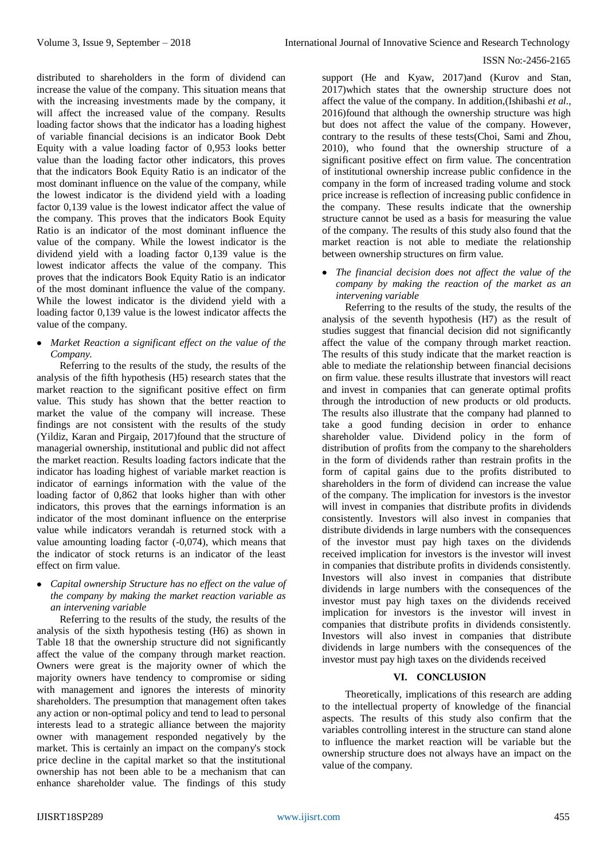distributed to shareholders in the form of dividend can increase the value of the company. This situation means that with the increasing investments made by the company, it will affect the increased value of the company. Results loading factor shows that the indicator has a loading highest of variable financial decisions is an indicator Book Debt Equity with a value loading factor of 0,953 looks better value than the loading factor other indicators, this proves that the indicators Book Equity Ratio is an indicator of the most dominant influence on the value of the company, while the lowest indicator is the dividend yield with a loading factor 0,139 value is the lowest indicator affect the value of the company. This proves that the indicators Book Equity Ratio is an indicator of the most dominant influence the value of the company. While the lowest indicator is the dividend yield with a loading factor 0,139 value is the lowest indicator affects the value of the company. This proves that the indicators Book Equity Ratio is an indicator of the most dominant influence the value of the company. While the lowest indicator is the dividend yield with a loading factor 0,139 value is the lowest indicator affects the value of the company.

 *Market Reaction a significant effect on the value of the Company.*

Referring to the results of the study, the results of the analysis of the fifth hypothesis (H5) research states that the market reaction to the significant positive effect on firm value. This study has shown that the better reaction to market the value of the company will increase. These findings are not consistent with the results of the study (Yildiz, Karan and Pirgaip, 2017)found that the structure of managerial ownership, institutional and public did not affect the market reaction. Results loading factors indicate that the indicator has loading highest of variable market reaction is indicator of earnings information with the value of the loading factor of 0,862 that looks higher than with other indicators, this proves that the earnings information is an indicator of the most dominant influence on the enterprise value while indicators verandah is returned stock with a value amounting loading factor (-0,074), which means that the indicator of stock returns is an indicator of the least effect on firm value.

 *Capital ownership Structure has no effect on the value of the company by making the market reaction variable as an intervening variable*

Referring to the results of the study, the results of the analysis of the sixth hypothesis testing (H6) as shown in Table 18 that the ownership structure did not significantly affect the value of the company through market reaction. Owners were great is the majority owner of which the majority owners have tendency to compromise or siding with management and ignores the interests of minority shareholders. The presumption that management often takes any action or non-optimal policy and tend to lead to personal interests lead to a strategic alliance between the majority owner with management responded negatively by the market. This is certainly an impact on the company's stock price decline in the capital market so that the institutional ownership has not been able to be a mechanism that can enhance shareholder value. The findings of this study

support (He and Kyaw, 2017)and (Kurov and Stan, 2017)which states that the ownership structure does not affect the value of the company. In addition,(Ishibashi *et al.*, 2016)found that although the ownership structure was high but does not affect the value of the company. However, contrary to the results of these tests(Choi, Sami and Zhou, 2010), who found that the ownership structure of a significant positive effect on firm value. The concentration of institutional ownership increase public confidence in the company in the form of increased trading volume and stock price increase is reflection of increasing public confidence in the company. These results indicate that the ownership structure cannot be used as a basis for measuring the value of the company. The results of this study also found that the market reaction is not able to mediate the relationship between ownership structures on firm value.

 *The financial decision does not affect the value of the company by making the reaction of the market as an intervening variable*

Referring to the results of the study, the results of the analysis of the seventh hypothesis (H7) as the result of studies suggest that financial decision did not significantly affect the value of the company through market reaction. The results of this study indicate that the market reaction is able to mediate the relationship between financial decisions on firm value. these results illustrate that investors will react and invest in companies that can generate optimal profits through the introduction of new products or old products. The results also illustrate that the company had planned to take a good funding decision in order to enhance shareholder value. Dividend policy in the form of distribution of profits from the company to the shareholders in the form of dividends rather than restrain profits in the form of capital gains due to the profits distributed to shareholders in the form of dividend can increase the value of the company. The implication for investors is the investor will invest in companies that distribute profits in dividends consistently. Investors will also invest in companies that distribute dividends in large numbers with the consequences of the investor must pay high taxes on the dividends received implication for investors is the investor will invest in companies that distribute profits in dividends consistently. Investors will also invest in companies that distribute dividends in large numbers with the consequences of the investor must pay high taxes on the dividends received implication for investors is the investor will invest in companies that distribute profits in dividends consistently. Investors will also invest in companies that distribute dividends in large numbers with the consequences of the investor must pay high taxes on the dividends received

# **VI. CONCLUSION**

Theoretically, implications of this research are adding to the intellectual property of knowledge of the financial aspects. The results of this study also confirm that the variables controlling interest in the structure can stand alone to influence the market reaction will be variable but the ownership structure does not always have an impact on the value of the company.